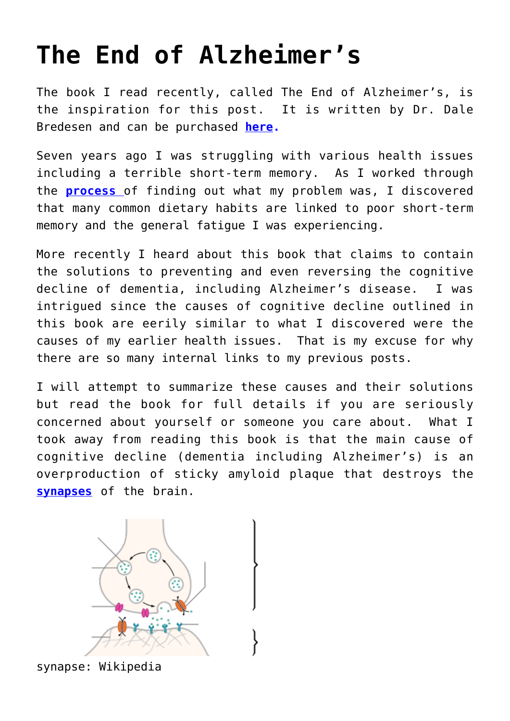## **[The End of Alzheimer's](https://loreeebee.ca/2018/02/03/end-alzheimers/)**

The book I read recently, called The End of Alzheimer's, is the inspiration for this post. It is written by Dr. Dale Bredesen and can be purchased **[here.](https://amzn.to/3I2CEUd)**

Seven years ago I was struggling with various health issues including a terrible short-term memory. As I worked through the **[process](https://loreeebee.ca/2012/01/15/sick-and-tired/)** of finding out what my problem was, I discovered that many common dietary habits are linked to poor short-term memory and the general fatigue I was experiencing.

More recently I heard about this book that claims to contain the solutions to preventing and even reversing the cognitive decline of dementia, including Alzheimer's disease. I was intrigued since the causes of cognitive decline outlined in this book are eerily similar to what I discovered were the causes of my earlier health issues. That is my excuse for why there are so many internal links to my previous posts.

I will attempt to summarize these causes and their solutions but read the book for full details if you are seriously concerned about yourself or someone you care about. What I took away from reading this book is that the main cause of cognitive decline (dementia including Alzheimer's) is an overproduction of sticky amyloid plaque that destroys the **[synapses](https://www.merriam-webster.com/dictionary/synapse)** of the brain.



synapse: Wikipedia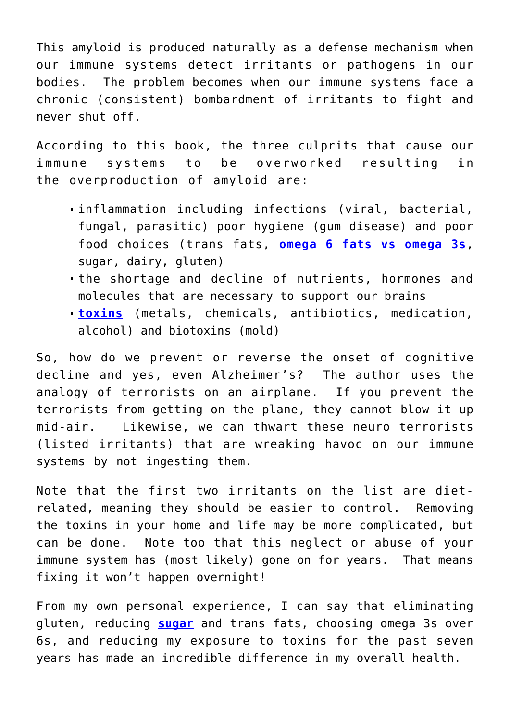This amyloid is produced naturally as a defense mechanism when our immune systems detect irritants or pathogens in our bodies. The problem becomes when our immune systems face a chronic (consistent) bombardment of irritants to fight and never shut off.

According to this book, the three culprits that cause our immune systems to be overworked resulting in the overproduction of amyloid are:

- inflammation including infections (viral, bacterial, fungal, parasitic) poor hygiene (gum disease) and poor food choices (trans fats, **[omega 6 fats vs omega 3s](https://loreeebee.ca/2017/04/12/omega-fatty-acids/)**, sugar, dairy, gluten)
- the shortage and decline of nutrients, hormones and molecules that are necessary to support our brains
- **[toxins](https://loreeebee.ca/2013/02/21/are-common-household-toxins-making-you-sick/)** (metals, chemicals, antibiotics, medication, alcohol) and biotoxins (mold)

So, how do we prevent or reverse the onset of cognitive decline and yes, even Alzheimer's? The author uses the analogy of terrorists on an airplane. If you prevent the terrorists from getting on the plane, they cannot blow it up mid-air. Likewise, we can thwart these neuro terrorists (listed irritants) that are wreaking havoc on our immune systems by not ingesting them.

Note that the first two irritants on the list are dietrelated, meaning they should be easier to control. Removing the toxins in your home and life may be more complicated, but can be done. Note too that this neglect or abuse of your immune system has (most likely) gone on for years. That means fixing it won't happen overnight!

From my own personal experience, I can say that eliminating gluten, reducing **[sugar](https://loreeebee.ca/2017/01/20/sugar-sugar/)** and trans fats, choosing omega 3s over 6s, and reducing my exposure to toxins for the past seven years has made an incredible difference in my overall health.